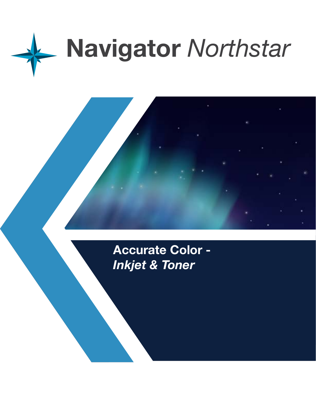

**Accurate Color -**  *Inkjet & Toner*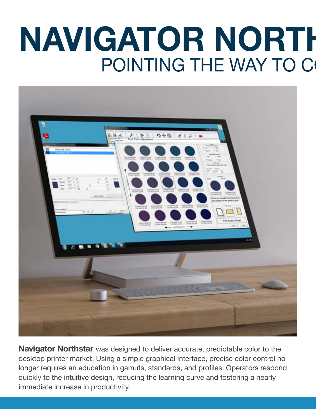# **NAVIGATOR NORTH** POINTING THE WAY TO C



**Navigator Northstar** was designed to deliver accurate, predictable color to the desktop printer market. Using a simple graphical interface, precise color control no longer requires an education in gamuts, standards, and profiles. Operators respond quickly to the intuitive design, reducing the learning curve and fostering a nearly immediate increase in productivity.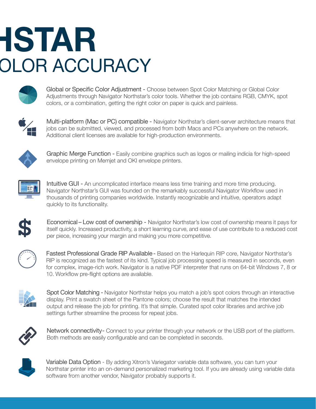## **NAVIGATOR NORTHSTAR OLOR ACCURACY**



Global or Specific Color Adjustment - Choose between Spot Color Matching or Global Color Adjustments through Navigator Northstar's color tools. Whether the job contains RGB, CMYK, spot colors, or a combination, getting the right color on paper is quick and painless.



Multi-platform (Mac or PC) compatible - Navigator Northstar's client-server architecture means that jobs can be submitted, viewed, and processed from both Macs and PCs anywhere on the network. Additional client licenses are available for high-production environments.



Graphic Merge Function - Easily combine graphics such as logos or mailing indicia for high-speed envelope printing on Memjet and OKI envelope printers.



Intuitive GUI - An uncomplicated interface means less time training and more time producing. Navigator Northstar's GUI was founded on the remarkably successful Navigator Workflow used in thousands of printing companies worldwide. Instantly recognizable and intuitive, operators adapt quickly to its functionality.



Economical – Low cost of ownership - Navigator Northstar's low cost of ownership means it pays for itself quickly. Increased productivity, a short learning curve, and ease of use contribute to a reduced cost per piece, increasing your margin and making you more competitive.



Fastest Professional Grade RIP Available - Based on the Harlequin RIP core, Navigator Northstar's RIP is recognized as the fastest of its kind. Typical job processing speed is measured in seconds, even for complex, image-rich work. Navigator is a native PDF interpreter that runs on 64-bit Windows 7, 8 or 10. Workflow pre-flight options are available.



Spot Color Matching - Navigator Northstar helps you match a job's spot colors through an interactive display. Print a swatch sheet of the Pantone colors; choose the result that matches the intended output and release the job for printing. It's that simple. Curated spot color libraries and archive job settings further streamline the process for repeat jobs.



Network connectivity - Connect to your printer through your network or the USB port of the platform. Both methods are easily configurable and can be completed in seconds.



Variable Data Option - By adding Xitron's Variegator variable data software, you can turn your Northstar printer into an on-demand personalized marketing tool. If you are already using variable data software from another vendor, Navigator probably supports it.